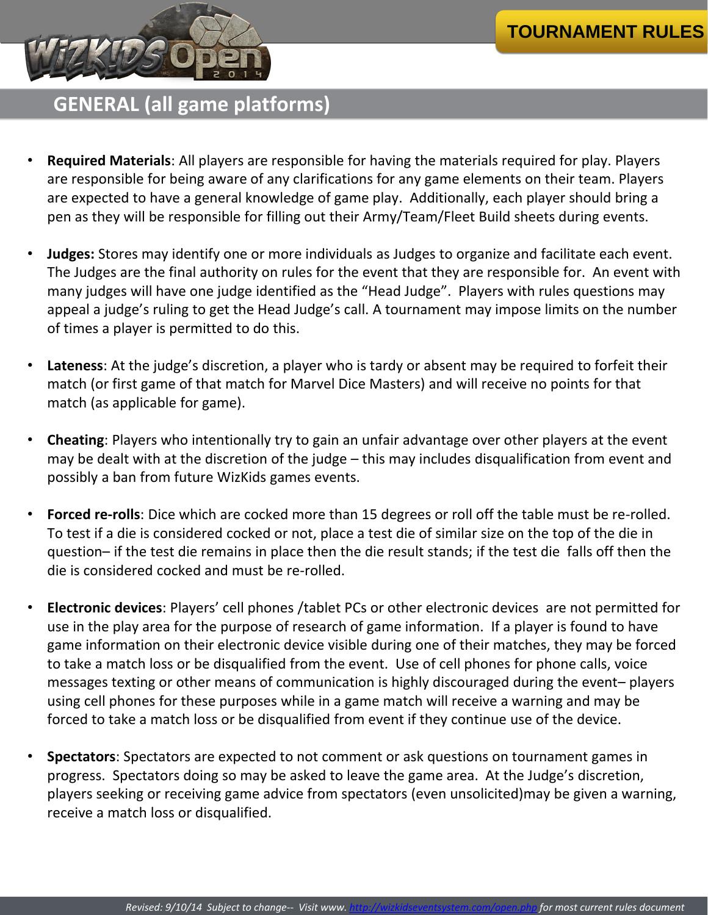- **Required Materials**: All players are responsible for having the materials required for play. Players are responsible for being aware of any clarifications for any game elements on their team. Players are expected to have a general knowledge of game play. Additionally, each player should bring a pen as they will be responsible for filling out their Army/Team/Fleet Build sheets during events.
- **Judges:** Stores may identify one or more individuals as Judges to organize and facilitate each event. The Judges are the final authority on rules for the event that they are responsible for. An event with many judges will have one judge identified as the "Head Judge". Players with rules questions may appeal a judge's ruling to get the Head Judge's call. A tournament may impose limits on the number of times a player is permitted to do this.
- **Lateness**: At the judge's discretion, a player who is tardy or absent may be required to forfeit their match (or first game of that match for Marvel Dice Masters) and will receive no points for that match (as applicable for game).
- **Cheating**: Players who intentionally try to gain an unfair advantage over other players at the event may be dealt with at the discretion of the judge – this may includes disqualification from event and possibly a ban from future WizKids games events.
- **Forced re-rolls**: Dice which are cocked more than 15 degrees or roll off the table must be re-rolled. To test if a die is considered cocked or not, place a test die of similar size on the top of the die in question– if the test die remains in place then the die result stands; if the test die falls off then the die is considered cocked and must be re-rolled.
- **Electronic devices**: Players' cell phones /tablet PCs or other electronic devices are not permitted for use in the play area for the purpose of research of game information. If a player is found to have game information on their electronic device visible during one of their matches, they may be forced to take a match loss or be disqualified from the event. Use of cell phones for phone calls, voice messages texting or other means of communication is highly discouraged during the event– players using cell phones for these purposes while in a game match will receive a warning and may be forced to take a match loss or be disqualified from event if they continue use of the device.
- **Spectators**: Spectators are expected to not comment or ask questions on tournament games in progress. Spectators doing so may be asked to leave the game area. At the Judge's discretion, players seeking or receiving game advice from spectators (even unsolicited)may be given a warning, receive a match loss or disqualified.

### **GENERAL (all game platforms)**

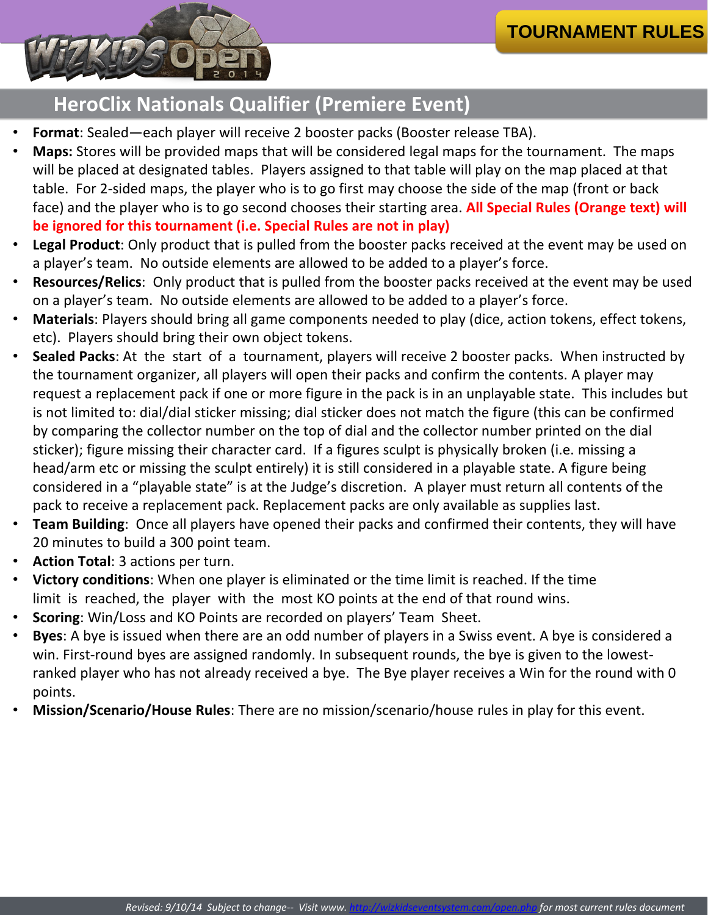- **Format**: Sealed—each player will receive 2 booster packs (Booster release TBA).
- **Maps:** Stores will be provided maps that will be considered legal maps for the tournament. The maps will be placed at designated tables. Players assigned to that table will play on the map placed at that table. For 2-sided maps, the player who is to go first may choose the side of the map (front or back face) and the player who is to go second chooses their starting area. **All Special Rules (Orange text) will be ignored for this tournament (i.e. Special Rules are not in play)**
- **Legal Product**: Only product that is pulled from the booster packs received at the event may be used on a player's team. No outside elements are allowed to be added to a player's force.
- **Resources/Relics**: Only product that is pulled from the booster packs received at the event may be used on a player's team. No outside elements are allowed to be added to a player's force.
- **Materials**: Players should bring all game components needed to play (dice, action tokens, effect tokens, etc). Players should bring their own object tokens.
- **Sealed Packs**: At the start of a tournament, players will receive 2 booster packs. When instructed by the tournament organizer, all players will open their packs and confirm the contents. A player may request a replacement pack if one or more figure in the pack is in an unplayable state. This includes but is not limited to: dial/dial sticker missing; dial sticker does not match the figure (this can be confirmed by comparing the collector number on the top of dial and the collector number printed on the dial sticker); figure missing their character card. If a figures sculpt is physically broken (i.e. missing a head/arm etc or missing the sculpt entirely) it is still considered in a playable state. A figure being considered in a "playable state" is at the Judge's discretion. A player must return all contents of the
	- pack to receive a replacement pack. Replacement packs are only available as supplies last.
- **Team Building**: Once all players have opened their packs and confirmed their contents, they will have 20 minutes to build a 300 point team.
- **Action Total**: 3 actions per turn.
- **Victory conditions**: When one player is eliminated or the time limit is reached. If the time limit is reached, the player with the most KO points at the end of that round wins.
- **Scoring**: Win/Loss and KO Points are recorded on players' Team Sheet.
- **Byes**: A bye is issued when there are an odd number of players in a Swiss event. A bye is considered a win. First-round byes are assigned randomly. In subsequent rounds, the bye is given to the lowestranked player who has not already received a bye. The Bye player receives a Win for the round with 0 points.
- **Mission/Scenario/House Rules**: There are no mission/scenario/house rules in play for this event.

### **HeroClix Nationals Qualifier (Premiere Event)**

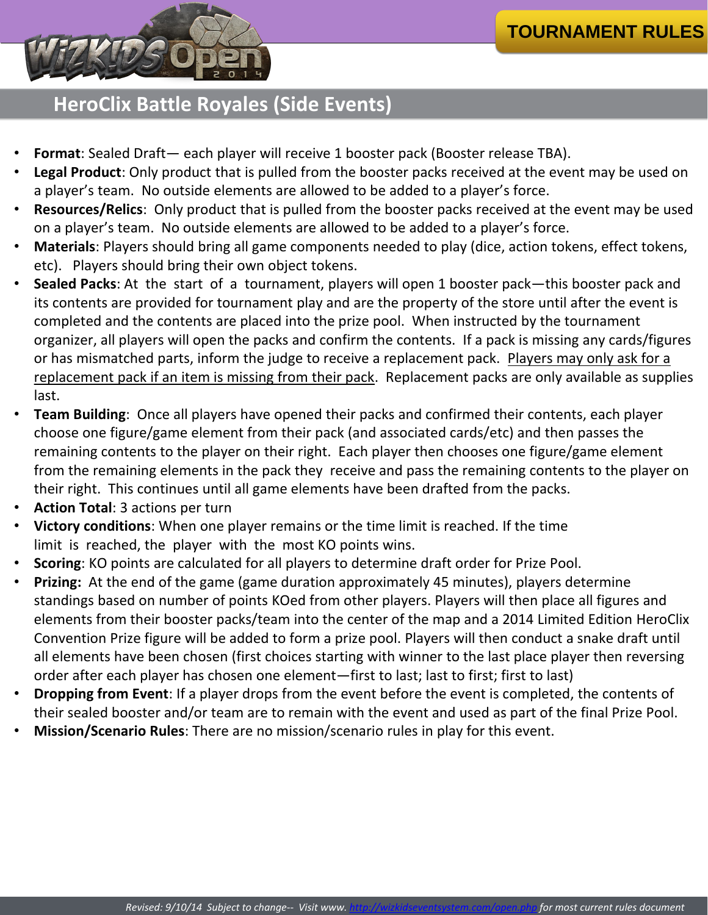- **Format**: Sealed Draft— each player will receive 1 booster pack (Booster release TBA).
- Legal Product: Only product that is pulled from the booster packs received at the event may be used on a player's team. No outside elements are allowed to be added to a player's force.
- **Resources/Relics**: Only product that is pulled from the booster packs received at the event may be used on a player's team. No outside elements are allowed to be added to a player's force.
- **Materials**: Players should bring all game components needed to play (dice, action tokens, effect tokens, etc). Players should bring their own object tokens.
- **Sealed Packs**: At the start of a tournament, players will open 1 booster pack—this booster pack and its contents are provided for tournament play and are the property of the store until after the event is completed and the contents are placed into the prize pool. When instructed by the tournament organizer, all players will open the packs and confirm the contents. If a pack is missing any cards/figures or has mismatched parts, inform the judge to receive a replacement pack. Players may only ask for a replacement pack if an item is missing from their pack. Replacement packs are only available as supplies last.
- **Team Building**: Once all players have opened their packs and confirmed their contents, each player choose one figure/game element from their pack (and associated cards/etc) and then passes the remaining contents to the player on their right. Each player then chooses one figure/game element from the remaining elements in the pack they receive and pass the remaining contents to the player on their right. This continues until all game elements have been drafted from the packs.
- **Action Total**: 3 actions per turn
- **Victory conditions**: When one player remains or the time limit is reached. If the time limit is reached, the player with the most KO points wins.
- **Scoring**: KO points are calculated for all players to determine draft order for Prize Pool.
- **Prizing:** At the end of the game (game duration approximately 45 minutes), players determine standings based on number of points KOed from other players. Players will then place all figures and elements from their booster packs/team into the center of the map and a 2014 Limited Edition HeroClix Convention Prize figure will be added to form a prize pool. Players will then conduct a snake draft until all elements have been chosen (first choices starting with winner to the last place player then reversing order after each player has chosen one element—first to last; last to first; first to last)
- **Dropping from Event**: If a player drops from the event before the event is completed, the contents of their sealed booster and/or team are to remain with the event and used as part of the final Prize Pool.
- **Mission/Scenario Rules**: There are no mission/scenario rules in play for this event.

#### **HeroClix Battle Royales (Side Events)**

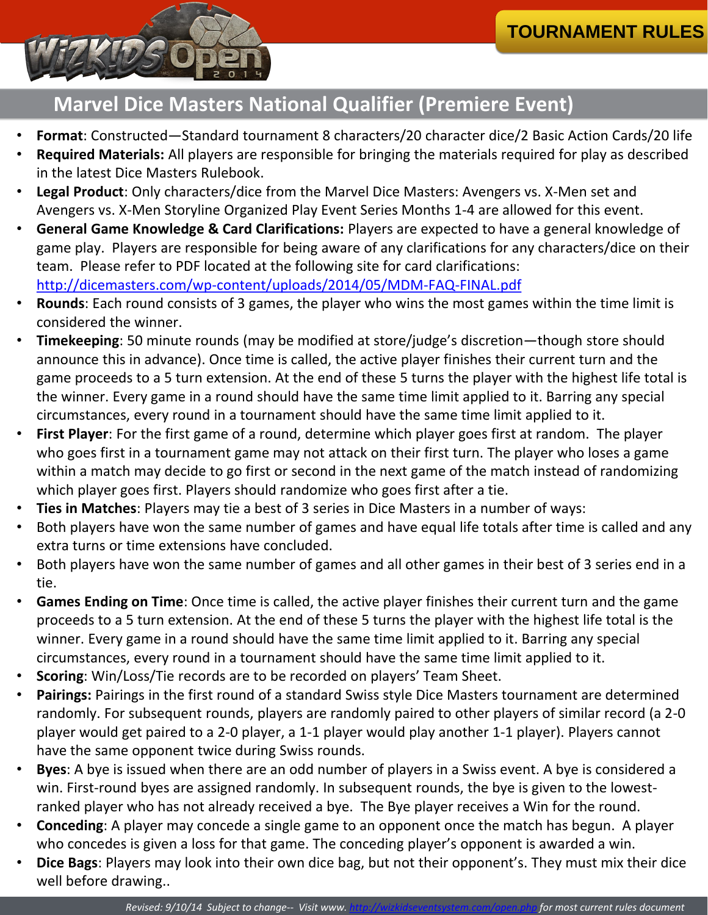- **Format**: Constructed—Standard tournament 8 characters/20 character dice/2 Basic Action Cards/20 life
- **Required Materials:** All players are responsible for bringing the materials required for play as described in the latest Dice Masters Rulebook.
- **Legal Product**: Only characters/dice from the Marvel Dice Masters: Avengers vs. X-Men set and Avengers vs. X-Men Storyline Organized Play Event Series Months 1-4 are allowed for this event.
- **General Game Knowledge & Card Clarifications:** Players are expected to have a general knowledge of game play. Players are responsible for being aware of any clarifications for any characters/dice on their team. Please refer to PDF located at the following site for card clarifications: <http://dicemasters.com/wp-content/uploads/2014/05/MDM-FAQ-FINAL.pdf>
- **Rounds**: Each round consists of 3 games, the player who wins the most games within the time limit is considered the winner.
- **Timekeeping**: 50 minute rounds (may be modified at store/judge's discretion—though store should announce this in advance). Once time is called, the active player finishes their current turn and the game proceeds to a 5 turn extension. At the end of these 5 turns the player with the highest life total is the winner. Every game in a round should have the same time limit applied to it. Barring any special circumstances, every round in a tournament should have the same time limit applied to it.
- **First Player**: For the first game of a round, determine which player goes first at random. The player who goes first in a tournament game may not attack on their first turn. The player who loses a game within a match may decide to go first or second in the next game of the match instead of randomizing which player goes first. Players should randomize who goes first after a tie.
- **Ties in Matches**: Players may tie a best of 3 series in Dice Masters in a number of ways:
- Both players have won the same number of games and have equal life totals after time is called and any extra turns or time extensions have concluded.
- Both players have won the same number of games and all other games in their best of 3 series end in a tie.
- **Games Ending on Time**: Once time is called, the active player finishes their current turn and the game proceeds to a 5 turn extension. At the end of these 5 turns the player with the highest life total is the winner. Every game in a round should have the same time limit applied to it. Barring any special circumstances, every round in a tournament should have the same time limit applied to it.
- **Scoring**: Win/Loss/Tie records are to be recorded on players' Team Sheet.
- **Pairings:** Pairings in the first round of a standard Swiss style Dice Masters tournament are determined randomly. For subsequent rounds, players are randomly paired to other players of similar record (a 2-0 player would get paired to a 2-0 player, a 1-1 player would play another 1-1 player). Players cannot have the same opponent twice during Swiss rounds.
- **Byes**: A bye is issued when there are an odd number of players in a Swiss event. A bye is considered a win. First-round byes are assigned randomly. In subsequent rounds, the bye is given to the lowestranked player who has not already received a bye. The Bye player receives a Win for the round.
- **Conceding**: A player may concede a single game to an opponent once the match has begun. A player who concedes is given a loss for that game. The conceding player's opponent is awarded a win.
- **Dice Bags**: Players may look into their own dice bag, but not their opponent's. They must mix their dice well before drawing..

## **Marvel Dice Masters National Qualifier (Premiere Event)**

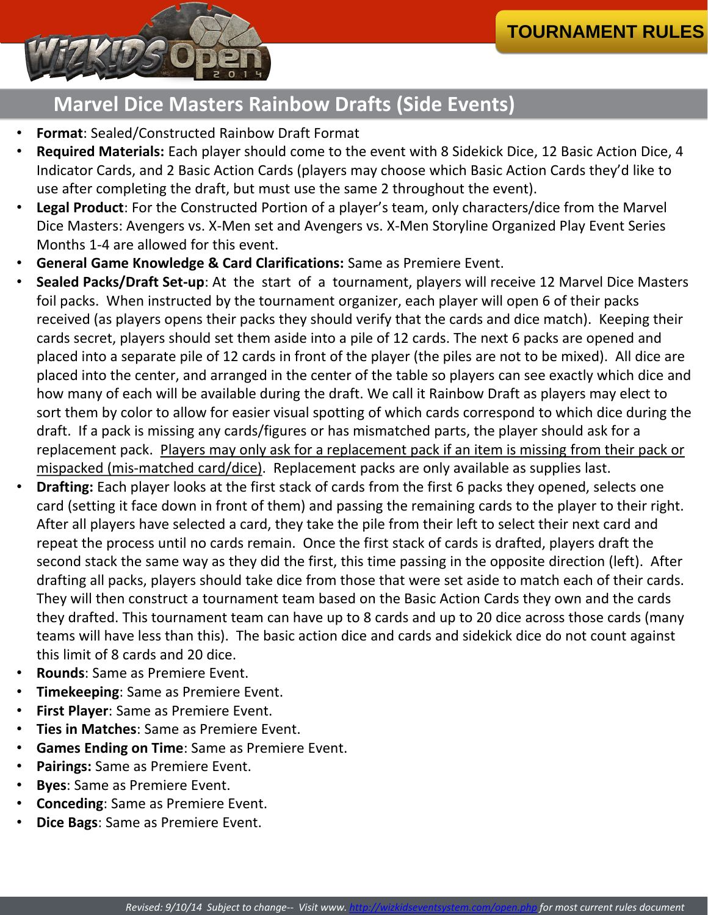- **Format**: Sealed/Constructed Rainbow Draft Format
- **Required Materials:** Each player should come to the event with 8 Sidekick Dice, 12 Basic Action Dice, 4 Indicator Cards, and 2 Basic Action Cards (players may choose which Basic Action Cards they'd like to use after completing the draft, but must use the same 2 throughout the event).
- **Legal Product**: For the Constructed Portion of a player's team, only characters/dice from the Marvel Dice Masters: Avengers vs. X-Men set and Avengers vs. X-Men Storyline Organized Play Event Series Months 1-4 are allowed for this event.
- **General Game Knowledge & Card Clarifications:** Same as Premiere Event.
- **Sealed Packs/Draft Set-up**: At the start of a tournament, players will receive 12 Marvel Dice Masters foil packs. When instructed by the tournament organizer, each player will open 6 of their packs received (as players opens their packs they should verify that the cards and dice match). Keeping their cards secret, players should set them aside into a pile of 12 cards. The next 6 packs are opened and placed into a separate pile of 12 cards in front of the player (the piles are not to be mixed). All dice are placed into the center, and arranged in the center of the table so players can see exactly which dice and how many of each will be available during the draft. We call it Rainbow Draft as players may elect to sort them by color to allow for easier visual spotting of which cards correspond to which dice during the draft. If a pack is missing any cards/figures or has mismatched parts, the player should ask for a replacement pack. Players may only ask for a replacement pack if an item is missing from their pack or mispacked (mis-matched card/dice). Replacement packs are only available as supplies last.
- **Drafting:** Each player looks at the first stack of cards from the first 6 packs they opened, selects one

card (setting it face down in front of them) and passing the remaining cards to the player to their right. After all players have selected a card, they take the pile from their left to select their next card and repeat the process until no cards remain. Once the first stack of cards is drafted, players draft the second stack the same way as they did the first, this time passing in the opposite direction (left). After drafting all packs, players should take dice from those that were set aside to match each of their cards. They will then construct a tournament team based on the Basic Action Cards they own and the cards they drafted. This tournament team can have up to 8 cards and up to 20 dice across those cards (many teams will have less than this). The basic action dice and cards and sidekick dice do not count against this limit of 8 cards and 20 dice.

- **Rounds**: Same as Premiere Event.
- **Timekeeping**: Same as Premiere Event.
- **First Player**: Same as Premiere Event.
- **Ties in Matches**: Same as Premiere Event.
- **Games Ending on Time**: Same as Premiere Event.
- **Pairings:** Same as Premiere Event.
- **Byes**: Same as Premiere Event.
- **Conceding**: Same as Premiere Event.
- **Dice Bags**: Same as Premiere Event.

#### **Marvel Dice Masters Rainbow Drafts (Side Events)**

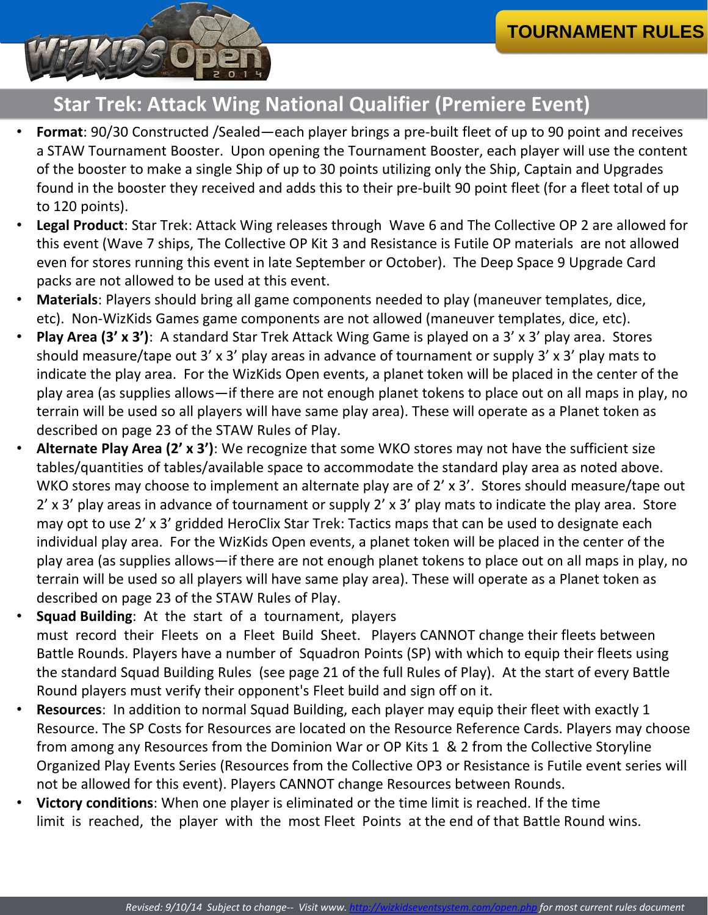2' x 3' play areas in advance of tournament or supply 2' x 3' play mats to indicate the play area. Store may opt to use 2' x 3' gridded HeroClix Star Trek: Tactics maps that can be used to designate each individual play area. For the WizKids Open events, a planet token will be placed in the center of the play area (as supplies allows—if there are not enough planet tokens to place out on all maps in play, no terrain will be used so all players will have same play area). These will operate as a Planet token as described on page 23 of the STAW Rules of Play.

- **Squad Building**: At the start of a tournament, players must record their Fleets on a Fleet Build Sheet. Players CANNOT change their fleets between Battle Rounds. Players have a number of Squadron Points (SP) with which to equip their fleets using the standard Squad Building Rules (see page 21 of the full Rules of Play). At the start of every Battle Round players must verify their opponent's Fleet build and sign off on it.
- **Resources**: In addition to normal Squad Building, each player may equip their fleet with exactly 1 Resource. The SP Costs for Resources are located on the Resource Reference Cards. Players may choose from among any Resources from the Dominion War or OP Kits 1 & 2 from the Collective Storyline Organized Play Events Series (Resources from the Collective OP3 or Resistance is Futile event series will not be allowed for this event). Players CANNOT change Resources between Rounds.
- **Victory conditions**: When one player is eliminated or the time limit is reached. If the time limit is reached, the player with the most Fleet Points at the end of that Battle Round wins.

# **Star Trek: Attack Wing National Qualifier (Premiere Event)**

- **Format**: 90/30 Constructed /Sealed—each player brings a pre-built fleet of up to 90 point and receives a STAW Tournament Booster. Upon opening the Tournament Booster, each player will use the content of the booster to make a single Ship of up to 30 points utilizing only the Ship, Captain and Upgrades found in the booster they received and adds this to their pre-built 90 point fleet (for a fleet total of up to 120 points).
- **Legal Product**: Star Trek: Attack Wing releases through Wave 6 and The Collective OP 2 are allowed for this event (Wave 7 ships, The Collective OP Kit 3 and Resistance is Futile OP materials are not allowed even for stores running this event in late September or October). The Deep Space 9 Upgrade Card packs are not allowed to be used at this event.
- **Materials**: Players should bring all game components needed to play (maneuver templates, dice, etc). Non-WizKids Games game components are not allowed (maneuver templates, dice, etc).
- **Play Area (3' x 3')**: A standard Star Trek Attack Wing Game is played on a 3' x 3' play area. Stores should measure/tape out 3' x 3' play areas in advance of tournament or supply 3' x 3' play mats to indicate the play area. For the WizKids Open events, a planet token will be placed in the center of the play area (as supplies allows—if there are not enough planet tokens to place out on all maps in play, no terrain will be used so all players will have same play area). These will operate as a Planet token as described on page 23 of the STAW Rules of Play.
- **Alternate Play Area (2' x 3')**: We recognize that some WKO stores may not have the sufficient size tables/quantities of tables/available space to accommodate the standard play area as noted above. WKO stores may choose to implement an alternate play are of 2' x 3'. Stores should measure/tape out

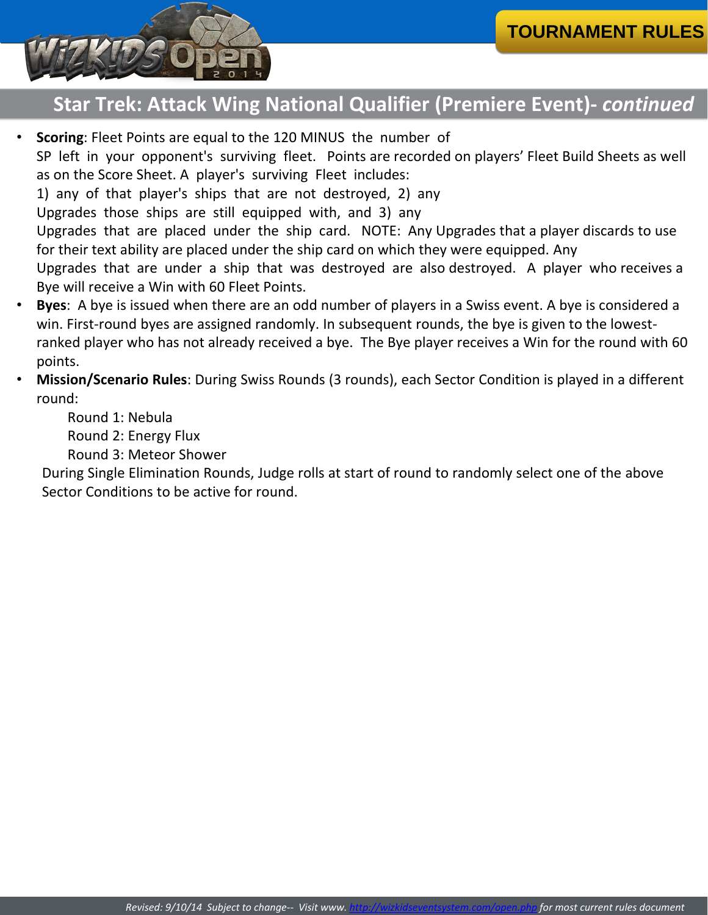- **Scoring**: Fleet Points are equal to the 120 MINUS the number of SP left in your opponent's surviving fleet. Points are recorded on players' Fleet Build Sheets as well as on the Score Sheet. A player's surviving Fleet includes: 1) any of that player's ships that are not destroyed, 2) any Upgrades those ships are still equipped with, and 3) any Upgrades that are placed under the ship card. NOTE: Any Upgrades that a player discards to use for their text ability are placed under the ship card on which they were equipped. Any Upgrades that are under a ship that was destroyed are also destroyed. A player who receives a Bye will receive a Win with 60 Fleet Points.
- **Byes**: A bye is issued when there are an odd number of players in a Swiss event. A bye is considered a win. First-round byes are assigned randomly. In subsequent rounds, the bye is given to the lowestranked player who has not already received a bye. The Bye player receives a Win for the round with 60 points.
- **Mission/Scenario Rules**: During Swiss Rounds (3 rounds), each Sector Condition is played in a different round:

Round 1: Nebula Round 2: Energy Flux Round 3: Meteor Shower

During Single Elimination Rounds, Judge rolls at start of round to randomly select one of the above Sector Conditions to be active for round.

# **Star Trek: Attack Wing National Qualifier (Premiere Event)-** *continued*



*Revised: 9/10/14 Subject to change-- Visit www.<http://wizkidseventsystem.com/open.php> for most current rules document*